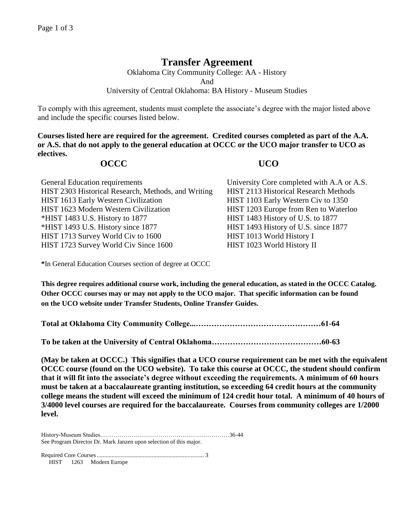## **Transfer Agreement**

Oklahoma City Community College: AA - History And University of Central Oklahoma: BA History - Museum Studies

To comply with this agreement, students must complete the associate's degree with the major listed above and include the specific courses listed below.

**Courses listed here are required for the agreement. Credited courses completed as part of the A.A. or A.S. that do not apply to the general education at OCCC or the UCO major transfer to UCO as electives.**

## **OCCC UCO**

| University Core completed with A.A or A.S. |
|--------------------------------------------|
| HIST 2113 Historical Research Methods      |
| HIST 1103 Early Western Civ to 1350        |
| HIST 1203 Europe from Ren to Waterloo      |
| HIST 1483 History of U.S. to 1877          |
| HIST 1493 History of U.S. since 1877       |
| HIST 1013 World History I                  |
| HIST 1023 World History II                 |
|                                            |

**\***In General Education Courses section of degree at OCCC

**This degree requires additional course work, including the general education, as stated in the OCCC Catalog. Other OCCC courses may or may not apply to the UCO major. That specific information can be found on the UCO website under Transfer Students, Online Transfer Guides.** 

**Total at Oklahoma City Community College...…………………………………………61-64**

**To be taken at the University of Central Oklahoma……………………………………60-63**

**(May be taken at OCCC.) This signifies that a UCO course requirement can be met with the equivalent OCCC course (found on the UCO website). To take this course at OCCC, the student should confirm that it will fit into the associate's degree without exceeding the requirements. A minimum of 60 hours must be taken at a baccalaureate granting institution, so exceeding 64 credit hours at the community college means the student will exceed the minimum of 124 credit hour total. A minimum of 40 hours of 3/4000 level courses are required for the baccalaureate. Courses from community colleges are 1/2000 level.**

History-Museum Studies…………………………………………………………36-44 See Program Director Dr. Mark Janzen upon selection of this major.

Required Core Courses........................................................................ 3 HIST 1263 Modern Europe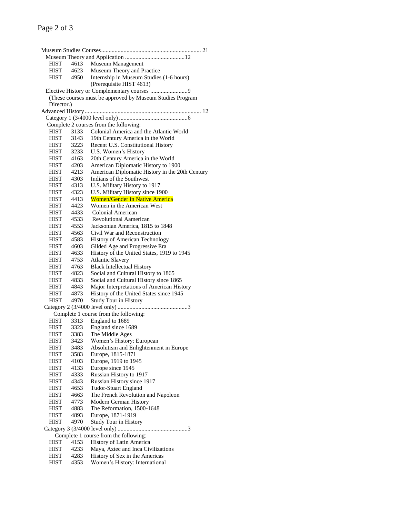# Page 2 of 3

| HIST                                  | 4613 | Museum Management                                         |  |  |
|---------------------------------------|------|-----------------------------------------------------------|--|--|
| HIST                                  | 4623 | Museum Theory and Practice                                |  |  |
| HIST                                  | 4950 | Internship in Museum Studies (1-6 hours)                  |  |  |
|                                       |      | (Prerequisite HIST 4613)                                  |  |  |
|                                       |      | Elective History or Complementary courses 9               |  |  |
|                                       |      | (These courses must be approved by Museum Studies Program |  |  |
| Director.)                            |      |                                                           |  |  |
|                                       |      |                                                           |  |  |
|                                       |      |                                                           |  |  |
|                                       |      | Complete 2 courses from the following:                    |  |  |
| <b>HIST</b>                           | 3133 | Colonial America and the Atlantic World                   |  |  |
| <b>HIST</b>                           | 3143 | 19th Century America in the World                         |  |  |
| <b>HIST</b>                           | 3223 | Recent U.S. Constitutional History                        |  |  |
| <b>HIST</b>                           | 3233 | U.S. Women's History                                      |  |  |
| <b>HIST</b>                           | 4163 | 20th Century America in the World                         |  |  |
| <b>HIST</b>                           | 4203 | American Diplomatic History to 1900                       |  |  |
| <b>HIST</b>                           | 4213 | American Diplomatic History in the 20th Century           |  |  |
| <b>HIST</b>                           | 4303 | Indians of the Southwest                                  |  |  |
| HIST                                  | 4313 | U.S. Military History to 1917                             |  |  |
| <b>HIST</b>                           | 4323 | U.S. Military History since 1900                          |  |  |
| <b>HIST</b>                           | 4413 | <b>Women/Gender in Native America</b>                     |  |  |
| <b>HIST</b>                           | 4423 | Women in the American West                                |  |  |
| <b>HIST</b>                           | 4433 | Colonial American                                         |  |  |
| <b>HIST</b>                           | 4533 | Revolutional Aamerican                                    |  |  |
| <b>HIST</b>                           | 4553 | Jacksonian America, 1815 to 1848                          |  |  |
| <b>HIST</b>                           | 4563 | Civil War and Reconstruction                              |  |  |
| <b>HIST</b>                           | 4583 | <b>History of American Technology</b>                     |  |  |
| <b>HIST</b>                           | 4603 |                                                           |  |  |
|                                       |      | Gilded Age and Progressive Era                            |  |  |
| <b>HIST</b>                           | 4633 | History of the United States, 1919 to 1945                |  |  |
| <b>HIST</b>                           | 4753 | <b>Atlantic Slavery</b>                                   |  |  |
| <b>HIST</b>                           | 4763 | <b>Black Intellectual History</b>                         |  |  |
| HIST                                  | 4823 | Social and Cultural History to 1865                       |  |  |
| <b>HIST</b>                           | 4833 | Social and Cultural History since 1865                    |  |  |
| <b>HIST</b>                           | 4843 | Major Interpretations of American History                 |  |  |
| HIST                                  | 4873 | History of the United States since 1945                   |  |  |
| HIST                                  | 4970 | Study Tour in History                                     |  |  |
|                                       |      |                                                           |  |  |
|                                       |      | Complete 1 course from the following:                     |  |  |
| <b>HIST</b>                           | 3313 | England to 1689                                           |  |  |
| <b>HIST</b>                           | 3323 | England since 1689                                        |  |  |
| HIST                                  | 3383 | The Middle Ages                                           |  |  |
| <b>HIST</b>                           | 3423 | Women's History: European                                 |  |  |
| HIST                                  | 3483 | Absolutism and Enlightenment in Europe                    |  |  |
| <b>HIST</b>                           | 3583 | Europe, 1815-1871                                         |  |  |
| HIST                                  | 4103 | Europe, 1919 to 1945                                      |  |  |
| <b>HIST</b>                           | 4133 | Europe since 1945                                         |  |  |
| <b>HIST</b>                           | 4333 | Russian History to 1917                                   |  |  |
| HIST                                  | 4343 | Russian History since 1917                                |  |  |
| <b>HIST</b>                           | 4653 | <b>Tudor-Stuart England</b>                               |  |  |
| HIST                                  | 4663 | The French Revolution and Napoleon                        |  |  |
| <b>HIST</b>                           | 4773 | Modern German History                                     |  |  |
| <b>HIST</b>                           | 4883 | The Reformation, 1500-1648                                |  |  |
| <b>HIST</b>                           | 4893 | Europe, 1871-1919                                         |  |  |
| <b>HIST</b>                           | 4970 | <b>Study Tour in History</b>                              |  |  |
|                                       |      |                                                           |  |  |
| Complete 1 course from the following: |      |                                                           |  |  |
| <b>HIST</b>                           | 4153 | History of Latin America                                  |  |  |
| <b>HIST</b>                           | 4233 | Maya, Aztec and Inca Civilizations                        |  |  |
| HIST                                  | 4283 | History of Sex in the Americas                            |  |  |
| <b>HIST</b>                           | 4353 | Women's History: International                            |  |  |
|                                       |      |                                                           |  |  |